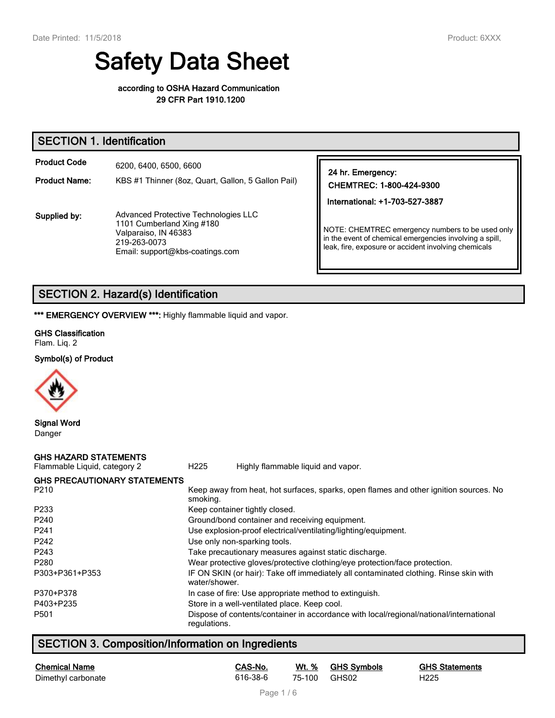# **Safety Data Sheet**

#### **according to OSHA Hazard Communication 29 CFR Part 1910.1200**

## **SECTION 1. Identification**

| <b>Product Code</b>  | 6200, 6400, 6500, 6600                                                                                                                       |                                                                                                                                                                     |
|----------------------|----------------------------------------------------------------------------------------------------------------------------------------------|---------------------------------------------------------------------------------------------------------------------------------------------------------------------|
| <b>Product Name:</b> | KBS #1 Thinner (8oz, Quart, Gallon, 5 Gallon Pail)                                                                                           | 24 hr. Emergency:<br>CHEMTREC: 1-800-424-9300                                                                                                                       |
|                      |                                                                                                                                              | International: +1-703-527-3887                                                                                                                                      |
| Supplied by:         | Advanced Protective Technologies LLC<br>1101 Cumberland Xing #180<br>Valparaiso, IN 46383<br>219-263-0073<br>Email: support@kbs-coatings.com | NOTE: CHEMTREC emergency numbers to be used only<br>in the event of chemical emergencies involving a spill,<br>leak, fire, exposure or accident involving chemicals |

# **SECTION 2. Hazard(s) Identification**

\*\*\* **EMERGENCY OVERVIEW \*\*\*:** Highly flammable liquid and vapor.

#### **GHS Classification**

Flam. Liq. 2

#### **Symbol(s) of Product**



**Signal Word**

Danger

#### **GHS HAZARD STATEMENTS**

Flammable Liquid, category 2 H225 Highly flammable liquid and vapor. **GHS PRECAUTIONARY STATEMENTS** P210 **Keep away from heat, hot surfaces, sparks, open flames and other ignition sources. No** smoking. P233 Keep container tightly closed. P240 Ground/bond container and receiving equipment. P241 Use explosion-proof electrical/ventilating/lighting/equipment. P242 Use only non-sparking tools. P243 Take precautionary measures against static discharge. P280 Wear protective gloves/protective clothing/eye protection/face protection. P303+P361+P353 IF ON SKIN (or hair): Take off immediately all contaminated clothing. Rinse skin with water/shower. P370+P378 In case of fire: Use appropriate method to extinguish. P403+P235 Store in a well-ventilated place. Keep cool. P501 Dispose of contents/container in accordance with local/regional/national/international regulations.

# **SECTION 3. Composition/Information on Ingredients**

| Chemical Name      | CAS-No.  |              | Wt. % GHS Symbols | <b>GHS Statements</b> |
|--------------------|----------|--------------|-------------------|-----------------------|
| Dimethyl carbonate | 616-38-6 | 75-100 GHS02 |                   | H <sub>225</sub>      |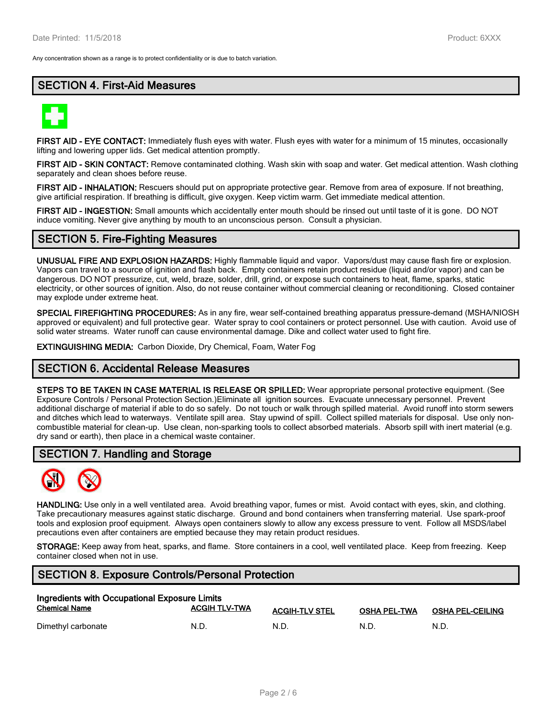Any concentration shown as a range is to protect confidentiality or is due to batch variation.

## **SECTION 4. First-Aid Measures**



**FIRST AID - EYE CONTACT:** Immediately flush eyes with water. Flush eyes with water for a minimum of 15 minutes, occasionally lifting and lowering upper lids. Get medical attention promptly.

**FIRST AID - SKIN CONTACT:** Remove contaminated clothing. Wash skin with soap and water. Get medical attention. Wash clothing separately and clean shoes before reuse.

**FIRST AID - INHALATION:** Rescuers should put on appropriate protective gear. Remove from area of exposure. If not breathing, give artificial respiration. If breathing is difficult, give oxygen. Keep victim warm. Get immediate medical attention.

**FIRST AID - INGESTION:** Small amounts which accidentally enter mouth should be rinsed out until taste of it is gone. DO NOT induce vomiting. Never give anything by mouth to an unconscious person. Consult a physician.

## **SECTION 5. Fire-Fighting Measures**

**UNUSUAL FIRE AND EXPLOSION HAZARDS:** Highly flammable liquid and vapor. Vapors/dust may cause flash fire or explosion. Vapors can travel to a source of ignition and flash back. Empty containers retain product residue (liquid and/or vapor) and can be dangerous. DO NOT pressurize, cut, weld, braze, solder, drill, grind, or expose such containers to heat, flame, sparks, static electricity, or other sources of ignition. Also, do not reuse container without commercial cleaning or reconditioning. Closed container may explode under extreme heat.

**SPECIAL FIREFIGHTING PROCEDURES:** As in any fire, wear self-contained breathing apparatus pressure-demand (MSHA/NIOSH approved or equivalent) and full protective gear. Water spray to cool containers or protect personnel. Use with caution. Avoid use of solid water streams. Water runoff can cause environmental damage. Dike and collect water used to fight fire.

**EXTINGUISHING MEDIA:** Carbon Dioxide, Dry Chemical, Foam, Water Fog

## **SECTION 6. Accidental Release Measures**

**STEPS TO BE TAKEN IN CASE MATERIAL IS RELEASE OR SPILLED:** Wear appropriate personal protective equipment. (See Exposure Controls / Personal Protection Section.)Eliminate all ignition sources. Evacuate unnecessary personnel. Prevent additional discharge of material if able to do so safely. Do not touch or walk through spilled material. Avoid runoff into storm sewers and ditches which lead to waterways. Ventilate spill area. Stay upwind of spill. Collect spilled materials for disposal. Use only noncombustible material for clean-up. Use clean, non-sparking tools to collect absorbed materials. Absorb spill with inert material (e.g. dry sand or earth), then place in a chemical waste container.

## **SECTION 7. Handling and Storage**



**HANDLING:** Use only in a well ventilated area. Avoid breathing vapor, fumes or mist. Avoid contact with eyes, skin, and clothing. Take precautionary measures against static discharge. Ground and bond containers when transferring material. Use spark-proof tools and explosion proof equipment. Always open containers slowly to allow any excess pressure to vent. Follow all MSDS/label precautions even after containers are emptied because they may retain product residues.

**STORAGE:** Keep away from heat, sparks, and flame. Store containers in a cool, well ventilated place. Keep from freezing. Keep container closed when not in use.

## **SECTION 8. Exposure Controls/Personal Protection**

| Ingredients with Occupational Exposure Limits |                      |                       |                     |                         |  |  |
|-----------------------------------------------|----------------------|-----------------------|---------------------|-------------------------|--|--|
| <b>Chemical Name</b>                          | <b>ACGIH TLV-TWA</b> | <b>ACGIH-TLV STEL</b> | <b>OSHA PEL-TWA</b> | <b>OSHA PEL-CEILING</b> |  |  |
| Dimethyl carbonate                            | N.D.                 | N.D                   | N.D                 | N.D.                    |  |  |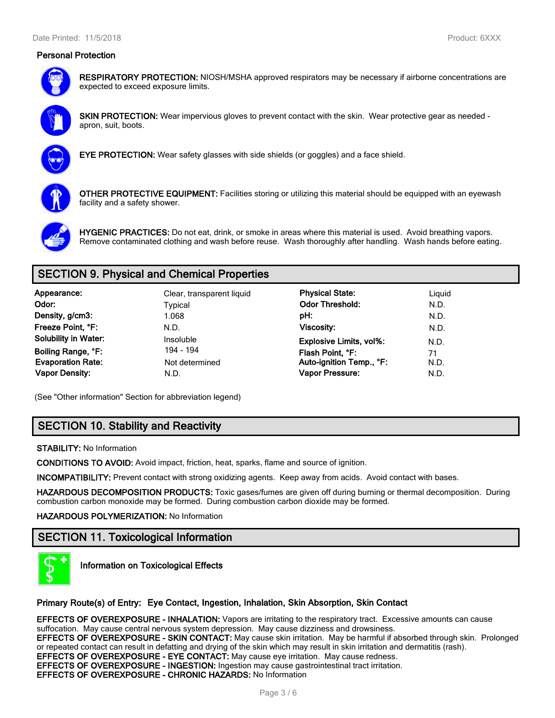#### **Personal Protection**



**RESPIRATORY PROTECTION:** NIOSH/MSHA approved respirators may be necessary if airborne concentrations are expected to exceed exposure limits.



**SKIN PROTECTION:** Wear impervious gloves to prevent contact with the skin. Wear protective gear as needed apron, suit, boots.



**EYE PROTECTION:** Wear safety glasses with side shields (or goggles) and a face shield.



**OTHER PROTECTIVE EQUIPMENT:** Facilities storing or utilizing this material should be equipped with an eyewash facility and a safety shower.



**HYGENIC PRACTICES:** Do not eat, drink, or smoke in areas where this material is used. Avoid breathing vapors. Remove contaminated clothing and wash before reuse. Wash thoroughly after handling. Wash hands before eating.

# **SECTION 9. Physical and Chemical Properties**

| Appearance:                 | Clear, transparent liquid | <b>Physical State:</b>         | Liguid |
|-----------------------------|---------------------------|--------------------------------|--------|
| Odor:                       | Typical                   | <b>Odor Threshold:</b>         | N.D.   |
| Density, g/cm3:             | 1.068                     | pH:                            | N.D.   |
| Freeze Point, °F:           | N.D.                      | Viscosity:                     | N.D.   |
| <b>Solubility in Water:</b> | Insoluble                 | <b>Explosive Limits, vol%:</b> | N.D.   |
| Boiling Range, °F:          | 194 - 194                 | Flash Point, °F:               | 71     |
| <b>Evaporation Rate:</b>    | Not determined            | Auto-ignition Temp., °F:       | N.D.   |
| <b>Vapor Density:</b>       | N.D.                      | Vapor Pressure:                | N.D.   |

(See "Other information" Section for abbreviation legend)

# **SECTION 10. Stability and Reactivity**

**STABILITY:** No Information

**CONDITIONS TO AVOID:** Avoid impact, friction, heat, sparks, flame and source of ignition.

**INCOMPATIBILITY:** Prevent contact with strong oxidizing agents. Keep away from acids. Avoid contact with bases.

**HAZARDOUS DECOMPOSITION PRODUCTS:** Toxic gases/fumes are given off during burning or thermal decomposition. During combustion carbon monoxide may be formed. During combustion carbon dioxide may be formed.

#### **HAZARDOUS POLYMERIZATION:** No Information

# **SECTION 11. Toxicological Information**



**Information on Toxicological Effects**

#### **Primary Route(s) of Entry: Eye Contact, Ingestion, Inhalation, Skin Absorption, Skin Contact**

**EFFECTS OF OVEREXPOSURE - INHALATION:** Vapors are irritating to the respiratory tract. Excessive amounts can cause suffocation. May cause central nervous system depression. May cause dizziness and drowsiness. **EFFECTS OF OVEREXPOSURE - SKIN CONTACT:** May cause skin irritation. May be harmful if absorbed through skin. Prolonged or repeated contact can result in defatting and drying of the skin which may result in skin irritation and dermatitis (rash). **EFFECTS OF OVEREXPOSURE - EYE CONTACT:** May cause eye irritation. May cause redness. **EFFECTS OF OVEREXPOSURE - INGESTION:** Ingestion may cause gastrointestinal tract irritation. **EFFECTS OF OVEREXPOSURE - CHRONIC HAZARDS:** No Information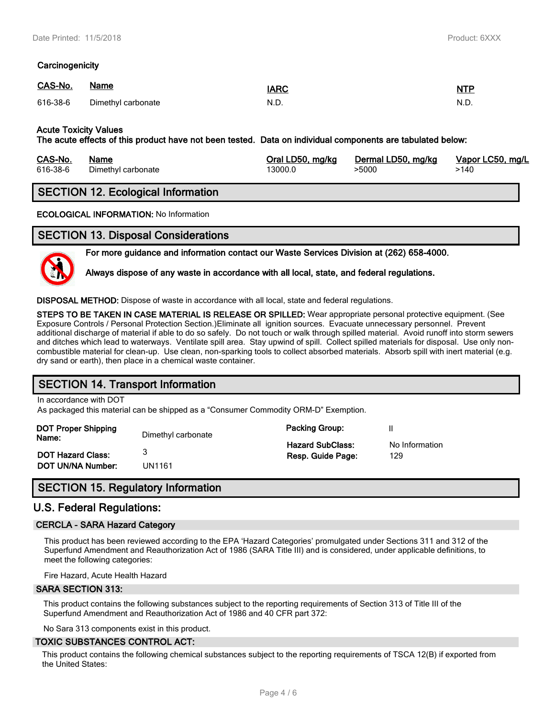#### **Carcinogenicity**

| CAS-No. | Name                        | <u>IARC</u> | <u>NTP</u> |
|---------|-----------------------------|-------------|------------|
|         | 616-38-6 Dimethyl carbonate | N.D.        | N.D.       |

#### **Acute Toxicity Values**

**The acute effects of this product have not been tested. Data on individual components are tabulated below:**

| CAS-No.  | Name               | Oral LD50, mg/kg | Dermal LD50, mg/kg | Vapor LC50, mg/L |
|----------|--------------------|------------------|--------------------|------------------|
| 616-38-6 | Dimethyl carbonate | 13000.0          | >5000              | ·140             |

## **SECTION 12. Ecological Information**

**ECOLOGICAL INFORMATION:** No Information

## **SECTION 13. Disposal Considerations**



**For more guidance and information contact our Waste Services Division at (262) 658-4000.**

**Always dispose of any waste in accordance with all local, state, and federal regulations.**

**DISPOSAL METHOD:** Dispose of waste in accordance with all local, state and federal regulations.

**STEPS TO BE TAKEN IN CASE MATERIAL IS RELEASE OR SPILLED:** Wear appropriate personal protective equipment. (See Exposure Controls / Personal Protection Section.)Eliminate all ignition sources. Evacuate unnecessary personnel. Prevent additional discharge of material if able to do so safely. Do not touch or walk through spilled material. Avoid runoff into storm sewers and ditches which lead to waterways. Ventilate spill area. Stay upwind of spill. Collect spilled materials for disposal. Use only noncombustible material for clean-up. Use clean, non-sparking tools to collect absorbed materials. Absorb spill with inert material (e.g. dry sand or earth), then place in a chemical waste container.

## **SECTION 14. Transport Information**

In accordance with DOT

As packaged this material can be shipped as a "Consumer Commodity ORM-D" Exemption.

| DOT Proper Shipping<br>Name: | Dimethyl carbonate | <b>Packing Group:</b>   |                |  |
|------------------------------|--------------------|-------------------------|----------------|--|
|                              |                    | <b>Hazard SubClass:</b> | No Information |  |
| <b>DOT Hazard Class:</b>     |                    | Resp. Guide Page:       | 129            |  |
| <b>DOT UN/NA Number:</b>     | UN1161             |                         |                |  |

# **SECTION 15. Regulatory Information**

## **U.S. Federal Regulations:**

#### **CERCLA - SARA Hazard Category**

This product has been reviewed according to the EPA 'Hazard Categories' promulgated under Sections 311 and 312 of the Superfund Amendment and Reauthorization Act of 1986 (SARA Title III) and is considered, under applicable definitions, to meet the following categories:

Fire Hazard, Acute Health Hazard

#### **SARA SECTION 313:**

This product contains the following substances subject to the reporting requirements of Section 313 of Title III of the Superfund Amendment and Reauthorization Act of 1986 and 40 CFR part 372:

No Sara 313 components exist in this product.

#### **TOXIC SUBSTANCES CONTROL ACT:**

This product contains the following chemical substances subject to the reporting requirements of TSCA 12(B) if exported from the United States: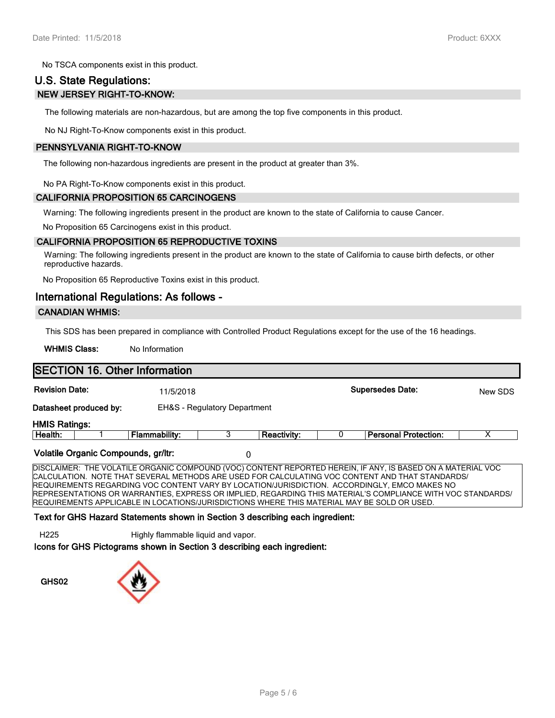No TSCA components exist in this product.

# **U.S. State Regulations: NEW JERSEY RIGHT-TO-KNOW:**

The following materials are non-hazardous, but are among the top five components in this product.

No NJ Right-To-Know components exist in this product.

#### **PENNSYLVANIA RIGHT-TO-KNOW**

The following non-hazardous ingredients are present in the product at greater than 3%.

No PA Right-To-Know components exist in this product.

#### **CALIFORNIA PROPOSITION 65 CARCINOGENS**

Warning: The following ingredients present in the product are known to the state of California to cause Cancer.

No Proposition 65 Carcinogens exist in this product.

#### **CALIFORNIA PROPOSITION 65 REPRODUCTIVE TOXINS**

Warning: The following ingredients present in the product are known to the state of California to cause birth defects, or other reproductive hazards.

No Proposition 65 Reproductive Toxins exist in this product.

#### **International Regulations: As follows -**

#### **CANADIAN WHMIS:**

This SDS has been prepared in compliance with Controlled Product Regulations except for the use of the 16 headings.

WHMIS Class: No Information

| <b>SECTION 16. Other Information</b>                                                        |               |                                         |                    |  |                                                                                                             |         |
|---------------------------------------------------------------------------------------------|---------------|-----------------------------------------|--------------------|--|-------------------------------------------------------------------------------------------------------------|---------|
| <b>Revision Date:</b>                                                                       | 11/5/2018     |                                         |                    |  | <b>Supersedes Date:</b>                                                                                     | New SDS |
| Datasheet produced by:                                                                      |               | <b>EH&amp;S</b> - Regulatory Department |                    |  |                                                                                                             |         |
| <b>HMIS Ratings:</b>                                                                        |               |                                         |                    |  |                                                                                                             |         |
| Health:                                                                                     | Flammability: | 3                                       | <b>Reactivity:</b> |  | <b>Personal Protection:</b>                                                                                 |         |
| Volatile Organic Compounds, gr/ltr:<br>0                                                    |               |                                         |                    |  |                                                                                                             |         |
|                                                                                             |               |                                         |                    |  | DISCLAIMER: THE VOLATILE ORGANIC COMPOUND (VOC) CONTENT REPORTED HEREIN, IF ANY, IS BASED ON A MATERIAL VOC |         |
|                                                                                             |               |                                         |                    |  | CALCULATION. NOTE THAT SEVERAL METHODS ARE USED FOR CALCULATING VOC CONTENT AND THAT STANDARDS/             |         |
|                                                                                             |               |                                         |                    |  | REQUIREMENTS REGARDING VOC CONTENT VARY BY LOCATION/JURISDICTION. ACCORDINGLY, EMCO MAKES NO                |         |
|                                                                                             |               |                                         |                    |  | REPRESENTATIONS OR WARRANTIES. EXPRESS OR IMPLIED. REGARDING THIS MATERIAL'S COMPLIANCE WITH VOC STANDARDS/ |         |
| REQUIREMENTS APPLICABLE IN LOCATIONS/JURISDICTIONS WHERE THIS MATERIAL MAY BE SOLD OR USED. |               |                                         |                    |  |                                                                                                             |         |

#### **Text for GHS Hazard Statements shown in Section 3 describing each ingredient:**

H225 Highly flammable liquid and vapor.

**Icons for GHS Pictograms shown in Section 3 describing each ingredient:**